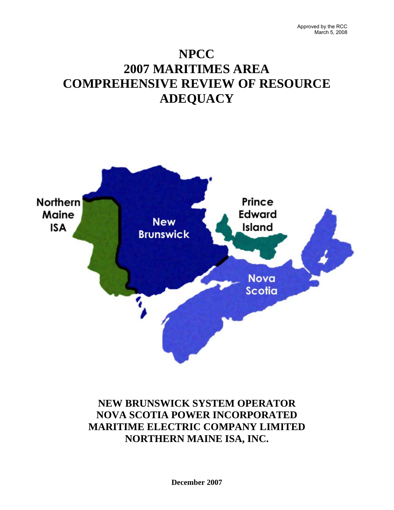# **NPCC 2007 MARITIMES AREA COMPREHENSIVE REVIEW OF RESOURCE ADEQUACY**



## **NEW BRUNSWICK SYSTEM OPERATOR NOVA SCOTIA POWER INCORPORATED MARITIME ELECTRIC COMPANY LIMITED NORTHERN MAINE ISA, INC.**

**December 2007**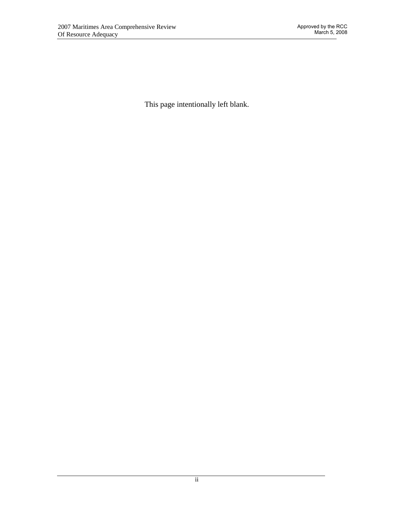This page intentionally left blank.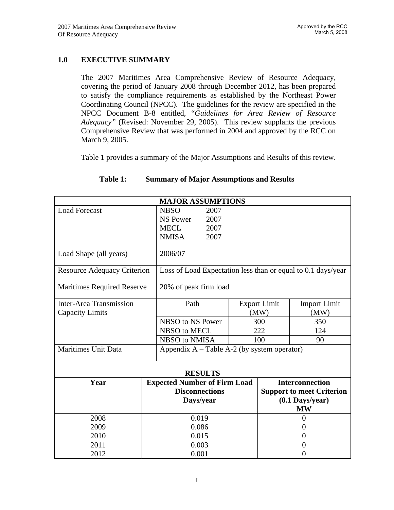#### <span id="page-2-0"></span>**1.0 EXECUTIVE SUMMARY**

The 2007 Maritimes Area Comprehensive Review of Resource Adequacy, covering the period of January 2008 through December 2012, has been prepared to satisfy the compliance requirements as established by the Northeast Power Coordinating Council (NPCC). The guidelines for the review are specified in the NPCC Document B-8 entitled, "*Guidelines for Area Review of Resource Adequacy"* (Revised: November 29, 2005). This review supplants the previous Comprehensive Review that was performed in 2004 and approved by the RCC on March 9, 2005.

Table 1 provides a summary of the Major Assumptions and Results of this review.

|                                    | <b>MAJOR ASSUMPTIONS</b>            |                                                 |     |                     |                                                              |  |  |
|------------------------------------|-------------------------------------|-------------------------------------------------|-----|---------------------|--------------------------------------------------------------|--|--|
| <b>Load Forecast</b>               | <b>NBSO</b>                         | 2007                                            |     |                     |                                                              |  |  |
|                                    | <b>NS Power</b>                     | 2007                                            |     |                     |                                                              |  |  |
|                                    | <b>MECL</b>                         | 2007                                            |     |                     |                                                              |  |  |
|                                    | <b>NMISA</b>                        | 2007                                            |     |                     |                                                              |  |  |
|                                    |                                     |                                                 |     |                     |                                                              |  |  |
| Load Shape (all years)             | 2006/07                             |                                                 |     |                     |                                                              |  |  |
|                                    |                                     |                                                 |     |                     |                                                              |  |  |
| <b>Resource Adequacy Criterion</b> |                                     |                                                 |     |                     | Loss of Load Expectation less than or equal to 0.1 days/year |  |  |
| <b>Maritimes Required Reserve</b>  | 20% of peak firm load               |                                                 |     |                     |                                                              |  |  |
|                                    |                                     |                                                 |     |                     |                                                              |  |  |
| <b>Inter-Area Transmission</b>     | Path                                |                                                 |     | <b>Export Limit</b> | <b>Import Limit</b>                                          |  |  |
| <b>Capacity Limits</b>             |                                     |                                                 |     | (MW)                | (MW)                                                         |  |  |
|                                    | NBSO to NS Power                    |                                                 | 300 |                     | 350                                                          |  |  |
|                                    | NBSO to MECL                        |                                                 |     | 222                 | 124                                                          |  |  |
|                                    | NBSO to NMISA                       |                                                 |     | 100                 | 90                                                           |  |  |
| <b>Maritimes Unit Data</b>         |                                     | Appendix $A - Table A - 2$ (by system operator) |     |                     |                                                              |  |  |
|                                    |                                     |                                                 |     |                     |                                                              |  |  |
|                                    |                                     | <b>RESULTS</b>                                  |     |                     |                                                              |  |  |
| Year                               | <b>Expected Number of Firm Load</b> |                                                 |     |                     | <b>Interconnection</b>                                       |  |  |
|                                    | <b>Disconnections</b>               |                                                 |     |                     | <b>Support to meet Criterion</b>                             |  |  |
|                                    |                                     | Days/year                                       |     |                     | $(0.1$ Days/year)                                            |  |  |
|                                    |                                     |                                                 |     |                     | <b>MW</b>                                                    |  |  |
| 2008                               |                                     | 0.019                                           |     | 0                   |                                                              |  |  |
| 2009                               |                                     | 0.086                                           |     | 0                   |                                                              |  |  |
| 2010                               |                                     | 0.015                                           |     |                     | 0                                                            |  |  |
| 2011                               |                                     | 0.003                                           |     |                     | 0                                                            |  |  |
| 2012                               | 0.001                               |                                                 |     |                     | 0                                                            |  |  |

#### **Table 1: Summary of Major Assumptions and Results**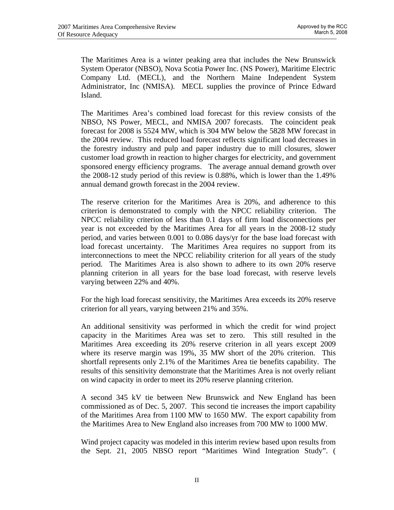The Maritimes Area is a winter peaking area that includes the New Brunswick System Operator (NBSO), Nova Scotia Power Inc. (NS Power), Maritime Electric Company Ltd. (MECL), and the Northern Maine Independent System Administrator, Inc (NMISA). MECL supplies the province of Prince Edward Island.

The Maritimes Area's combined load forecast for this review consists of the NBSO, NS Power, MECL, and NMISA 2007 forecasts. The coincident peak forecast for 2008 is 5524 MW, which is 304 MW below the 5828 MW forecast in the 2004 review. This reduced load forecast reflects significant load decreases in the forestry industry and pulp and paper industry due to mill closures, slower customer load growth in reaction to higher charges for electricity, and government sponsored energy efficiency programs. The average annual demand growth over the 2008-12 study period of this review is 0.88%, which is lower than the 1.49% annual demand growth forecast in the 2004 review.

The reserve criterion for the Maritimes Area is 20%, and adherence to this criterion is demonstrated to comply with the NPCC reliability criterion. The NPCC reliability criterion of less than 0.1 days of firm load disconnections per year is not exceeded by the Maritimes Area for all years in the 2008-12 study period, and varies between 0.001 to 0.086 days/yr for the base load forecast with load forecast uncertainty. The Maritimes Area requires no support from its interconnections to meet the NPCC reliability criterion for all years of the study period. The Maritimes Area is also shown to adhere to its own 20% reserve planning criterion in all years for the base load forecast, with reserve levels varying between 22% and 40%.

For the high load forecast sensitivity, the Maritimes Area exceeds its 20% reserve criterion for all years, varying between 21% and 35%.

An additional sensitivity was performed in which the credit for wind project capacity in the Maritimes Area was set to zero. This still resulted in the Maritimes Area exceeding its 20% reserve criterion in all years except 2009 where its reserve margin was 19%, 35 MW short of the 20% criterion. This shortfall represents only 2.1% of the Maritimes Area tie benefits capability. The results of this sensitivity demonstrate that the Maritimes Area is not overly reliant on wind capacity in order to meet its 20% reserve planning criterion.

A second 345 kV tie between New Brunswick and New England has been commissioned as of Dec. 5, 2007. This second tie increases the import capability of the Maritimes Area from 1100 MW to 1650 MW. The export capability from the Maritimes Area to New England also increases from 700 MW to 1000 MW.

Wind project capacity was modeled in this interim review based upon results from the Sept. 21, 2005 NBSO report "Maritimes Wind Integration Study". (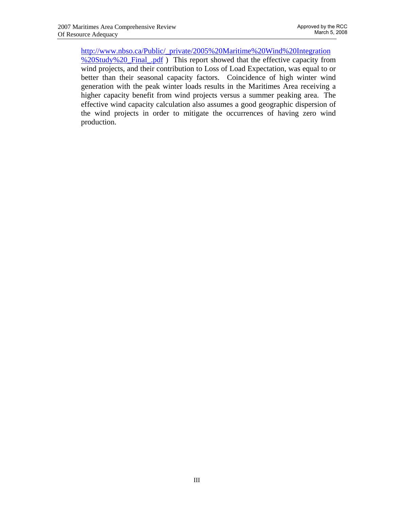[http://www.nbso.ca/Public/\\_private/2005%20Maritime%20Wind%20Integration](http://www.nbso.ca/Public/_private/2005%20Maritime%20Wind%20Integration%20Study%20_Final_.pdf) [%20Study%20\\_Final\\_.pdf](http://www.nbso.ca/Public/_private/2005%20Maritime%20Wind%20Integration%20Study%20_Final_.pdf) ) This report showed that the effective capacity from wind projects, and their contribution to Loss of Load Expectation, was equal to or better than their seasonal capacity factors. Coincidence of high winter wind generation with the peak winter loads results in the Maritimes Area receiving a higher capacity benefit from wind projects versus a summer peaking area. The effective wind capacity calculation also assumes a good geographic dispersion of the wind projects in order to mitigate the occurrences of having zero wind production.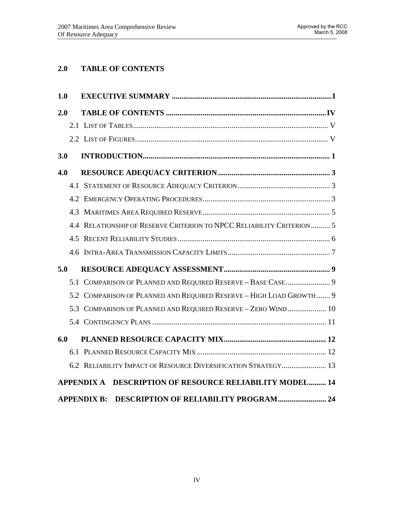## <span id="page-5-0"></span>**2.0 TABLE OF CONTENTS**

| 1.0 |                                                                          |
|-----|--------------------------------------------------------------------------|
| 2.0 |                                                                          |
|     |                                                                          |
|     |                                                                          |
| 3.0 |                                                                          |
| 4.0 |                                                                          |
|     |                                                                          |
|     |                                                                          |
|     |                                                                          |
|     | 4.4 RELATIONSHIP OF RESERVE CRITERION TO NPCC RELIABILITY CRITERION 5    |
|     |                                                                          |
|     |                                                                          |
| 5.0 |                                                                          |
|     | 5.1 COMPARISON OF PLANNED AND REQUIRED RESERVE - BASE CASE 9             |
|     | 5.2 COMPARISON OF PLANNED AND REQUIRED RESERVE - HIGH LOAD GROWTH 9      |
|     | 5.3 COMPARISON OF PLANNED AND REQUIRED RESERVE - ZERO WIND 10            |
|     |                                                                          |
| 6.0 |                                                                          |
|     |                                                                          |
|     | 6.2 RELIABILITY IMPACT OF RESOURCE DIVERSIFICATION STRATEGY 13           |
|     | <b>DESCRIPTION OF RESOURCE RELIABILITY MODEL 14</b><br><b>APPENDIX A</b> |
|     | <b>DESCRIPTION OF RELIABILITY PROGRAM 24</b><br><b>APPENDIX B:</b>       |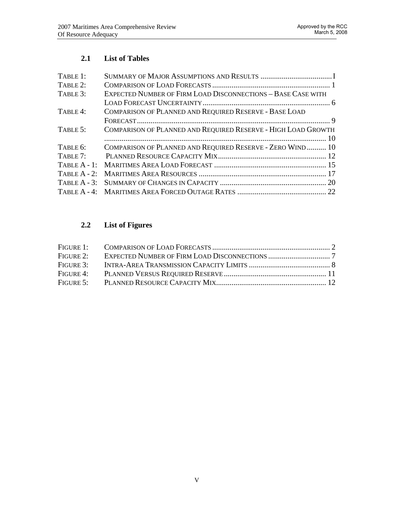## **2.1 List of Tables**

<span id="page-6-0"></span>

| TABLE 1:        |                                                               |  |
|-----------------|---------------------------------------------------------------|--|
| TABLE 2:        |                                                               |  |
| TABLE 3:        | EXPECTED NUMBER OF FIRM LOAD DISCONNECTIONS - BASE CASE WITH  |  |
|                 |                                                               |  |
| TABLE 4:        | COMPARISON OF PLANNED AND REQUIRED RESERVE - BASE LOAD        |  |
|                 |                                                               |  |
| TABLE 5:        | COMPARISON OF PLANNED AND REQUIRED RESERVE - HIGH LOAD GROWTH |  |
|                 |                                                               |  |
| TABLE 6:        | COMPARISON OF PLANNED AND REQUIRED RESERVE - ZERO WIND 10     |  |
| TABLE 7:        |                                                               |  |
| TABLE $A - 1$ : |                                                               |  |
| TABLE $A - 2$ : |                                                               |  |
| TABLE $A - 3$ : |                                                               |  |
|                 |                                                               |  |

## **2.2 List of Figures**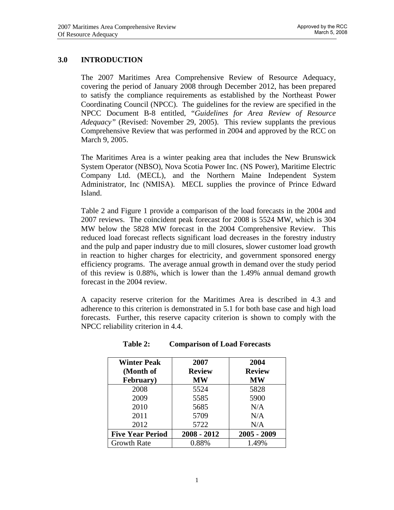#### <span id="page-7-0"></span>**3.0 INTRODUCTION**

The 2007 Maritimes Area Comprehensive Review of Resource Adequacy, covering the period of January 2008 through December 2012, has been prepared to satisfy the compliance requirements as established by the Northeast Power Coordinating Council (NPCC). The guidelines for the review are specified in the NPCC Document B-8 entitled, "*Guidelines for Area Review of Resource Adequacy"* (Revised: November 29, 2005). This review supplants the previous Comprehensive Review that was performed in 2004 and approved by the RCC on March 9, 2005.

The Maritimes Area is a winter peaking area that includes the New Brunswick System Operator (NBSO), Nova Scotia Power Inc. (NS Power), Maritime Electric Company Ltd. (MECL), and the Northern Maine Independent System Administrator, Inc (NMISA). MECL supplies the province of Prince Edward Island.

Table 2 and Figure 1 provide a comparison of the load forecasts in the 2004 and 2007 reviews. The coincident peak forecast for 2008 is 5524 MW, which is 304 MW below the 5828 MW forecast in the 2004 Comprehensive Review. This reduced load forecast reflects significant load decreases in the forestry industry and the pulp and paper industry due to mill closures, slower customer load growth in reaction to higher charges for electricity, and government sponsored energy efficiency programs. The average annual growth in demand over the study period of this review is 0.88%, which is lower than the 1.49% annual demand growth forecast in the 2004 review.

A capacity reserve criterion for the Maritimes Area is described in 4.3 and adherence to this criterion is demonstrated in 5.1 for both base case and high load forecasts. Further, this reserve capacity criterion is shown to comply with the NPCC reliability criterion in 4.4.

| <b>Winter Peak</b>      | 2007          | 2004          |
|-------------------------|---------------|---------------|
| (Month of               | <b>Review</b> | <b>Review</b> |
| <b>February</b> )       | <b>MW</b>     | <b>MW</b>     |
| 2008                    | 5524          | 5828          |
| 2009                    | 5585          | 5900          |
| 2010                    | 5685          | N/A           |
| 2011                    | 5709          | N/A           |
| 2012                    | 5722          | N/A           |
| <b>Five Year Period</b> | $2008 - 2012$ | $2005 - 2009$ |
| <b>Growth Rate</b>      | 0.88%         | 1.49%         |

#### **Table 2: Comparison of Load Forecasts**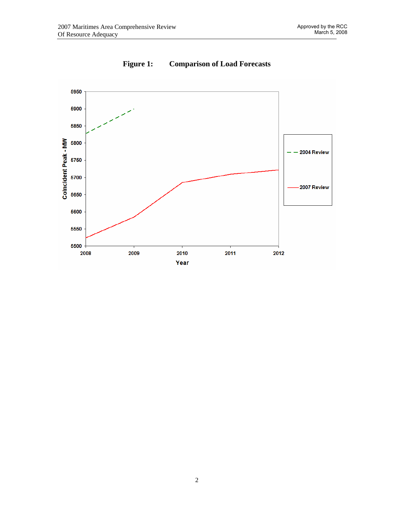<span id="page-8-0"></span>

**Figure 1: Comparison of Load Forecasts**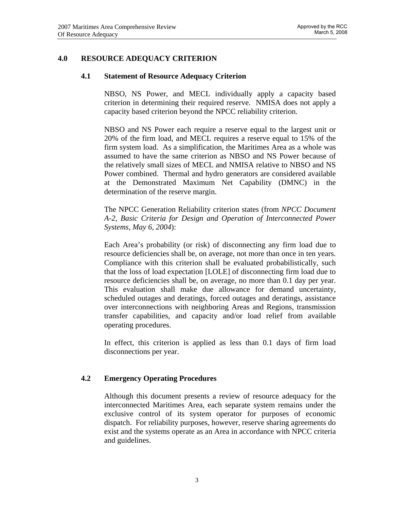#### <span id="page-9-0"></span>**4.0 RESOURCE ADEQUACY CRITERION**

#### **4.1 Statement of Resource Adequacy Criterion**

NBSO, NS Power, and MECL individually apply a capacity based criterion in determining their required reserve. NMISA does not apply a capacity based criterion beyond the NPCC reliability criterion.

NBSO and NS Power each require a reserve equal to the largest unit or 20% of the firm load, and MECL requires a reserve equal to 15% of the firm system load. As a simplification, the Maritimes Area as a whole was assumed to have the same criterion as NBSO and NS Power because of the relatively small sizes of MECL and NMISA relative to NBSO and NS Power combined. Thermal and hydro generators are considered available at the Demonstrated Maximum Net Capability (DMNC) in the determination of the reserve margin.

The NPCC Generation Reliability criterion states (from *NPCC Document A-2, Basic Criteria for Design and Operation of Interconnected Power Systems, May 6, 2004*):

Each Area's probability (or risk) of disconnecting any firm load due to resource deficiencies shall be, on average, not more than once in ten years. Compliance with this criterion shall be evaluated probabilistically, such that the loss of load expectation [LOLE] of disconnecting firm load due to resource deficiencies shall be, on average, no more than 0.1 day per year. This evaluation shall make due allowance for demand uncertainty, scheduled outages and deratings, forced outages and deratings, assistance over interconnections with neighboring Areas and Regions, transmission transfer capabilities, and capacity and/or load relief from available operating procedures.

In effect, this criterion is applied as less than 0.1 days of firm load disconnections per year.

#### **4.2 Emergency Operating Procedures**

Although this document presents a review of resource adequacy for the interconnected Maritimes Area, each separate system remains under the exclusive control of its system operator for purposes of economic dispatch. For reliability purposes, however, reserve sharing agreements do exist and the systems operate as an Area in accordance with NPCC criteria and guidelines.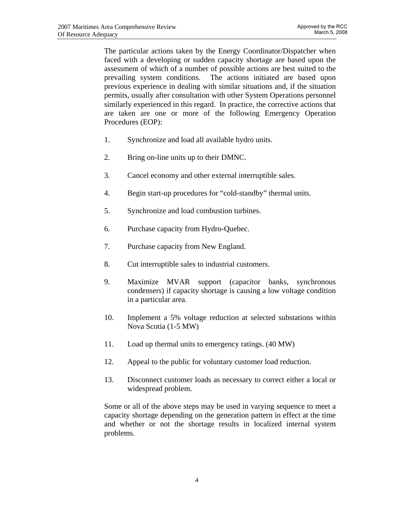The particular actions taken by the Energy Coordinator/Dispatcher when faced with a developing or sudden capacity shortage are based upon the assessment of which of a number of possible actions are best suited to the prevailing system conditions. The actions initiated are based upon previous experience in dealing with similar situations and, if the situation permits, usually after consultation with other System Operations personnel similarly experienced in this regard. In practice, the corrective actions that are taken are one or more of the following Emergency Operation Procedures (EOP):

- 1. Synchronize and load all available hydro units.
- 2. Bring on-line units up to their DMNC.
- 3. Cancel economy and other external interruptible sales.
- 4. Begin start-up procedures for "cold-standby" thermal units.
- 5. Synchronize and load combustion turbines.
- 6. Purchase capacity from Hydro-Quebec.
- 7. Purchase capacity from New England.
- 8. Cut interruptible sales to industrial customers.
- 9. Maximize MVAR support (capacitor banks, synchronous condensers) if capacity shortage is causing a low voltage condition in a particular area.
- 10. Implement a 5% voltage reduction at selected substations within Nova Scotia (1-5 MW)
- 11. Load up thermal units to emergency ratings. (40 MW)
- 12. Appeal to the public for voluntary customer load reduction.
- 13. Disconnect customer loads as necessary to correct either a local or widespread problem.

Some or all of the above steps may be used in varying sequence to meet a capacity shortage depending on the generation pattern in effect at the time and whether or not the shortage results in localized internal system problems.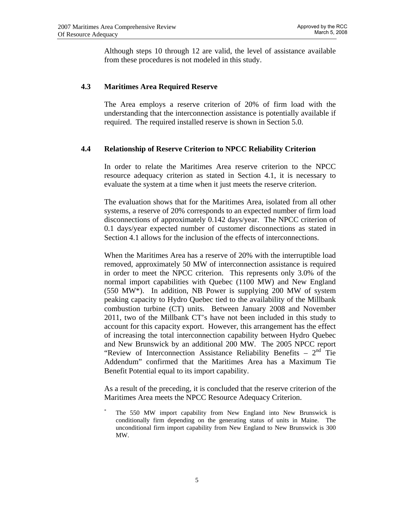<span id="page-11-0"></span>Although steps 10 through 12 are valid, the level of assistance available from these procedures is not modeled in this study.

#### **4.3 Maritimes Area Required Reserve**

The Area employs a reserve criterion of 20% of firm load with the understanding that the interconnection assistance is potentially available if required. The required installed reserve is shown in Section 5.0.

#### **4.4 Relationship of Reserve Criterion to NPCC Reliability Criterion**

In order to relate the Maritimes Area reserve criterion to the NPCC resource adequacy criterion as stated in Section 4.1, it is necessary to evaluate the system at a time when it just meets the reserve criterion.

The evaluation shows that for the Maritimes Area, isolated from all other systems, a reserve of 20% corresponds to an expected number of firm load disconnections of approximately 0.142 days/year. The NPCC criterion of 0.1 days/year expected number of customer disconnections as stated in Section 4.1 allows for the inclusion of the effects of interconnections.

When the Maritimes Area has a reserve of 20% with the interruptible load removed, approximately 50 MW of interconnection assistance is required in order to meet the NPCC criterion. This represents only 3.0% of the normal import capabilities with Quebec (1100 MW) and New England (550 MW\*). In addition, NB Power is supplying 200 MW of system peaking capacity to Hydro Quebec tied to the availability of the Millbank combustion turbine (CT) units. Between January 2008 and November 2011, two of the Millbank CT's have not been included in this study to account for this capacity export. However, this arrangement has the effect of increasing the total interconnection capability between Hydro Quebec and New Brunswick by an additional 200 MW. The 2005 NPCC report "Review of Interconnection Assistance Reliability Benefits –  $2<sup>nd</sup>$  Tie Addendum" confirmed that the Maritimes Area has a Maximum Tie Benefit Potential equal to its import capability.

As a result of the preceding, it is concluded that the reserve criterion of the Maritimes Area meets the NPCC Resource Adequacy Criterion.

The 550 MW import capability from New England into New Brunswick is conditionally firm depending on the generating status of units in Maine. The unconditional firm import capability from New England to New Brunswick is 300 MW.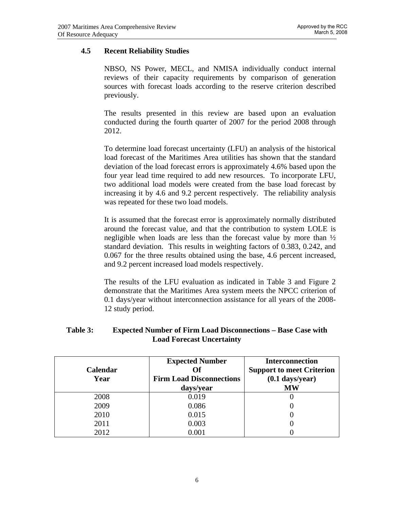#### <span id="page-12-0"></span>**4.5 Recent Reliability Studies**

NBSO, NS Power, MECL, and NMISA individually conduct internal reviews of their capacity requirements by comparison of generation sources with forecast loads according to the reserve criterion described previously.

The results presented in this review are based upon an evaluation conducted during the fourth quarter of 2007 for the period 2008 through 2012.

To determine load forecast uncertainty (LFU) an analysis of the historical load forecast of the Maritimes Area utilities has shown that the standard deviation of the load forecast errors is approximately 4.6% based upon the four year lead time required to add new resources. To incorporate LFU, two additional load models were created from the base load forecast by increasing it by 4.6 and 9.2 percent respectively. The reliability analysis was repeated for these two load models.

It is assumed that the forecast error is approximately normally distributed around the forecast value, and that the contribution to system LOLE is negligible when loads are less than the forecast value by more than ½ standard deviation. This results in weighting factors of 0.383, 0.242, and 0.067 for the three results obtained using the base, 4.6 percent increased, and 9.2 percent increased load models respectively.

The results of the LFU evaluation as indicated in Table 3 and Figure 2 demonstrate that the Maritimes Area system meets the NPCC criterion of 0.1 days/year without interconnection assistance for all years of the 2008- 12 study period.

#### **Table 3: Expected Number of Firm Load Disconnections – Base Case with Load Forecast Uncertainty**

| <b>Calendar</b><br>Year | <b>Expected Number</b><br>Of<br><b>Firm Load Disconnections</b><br>days/year | <b>Interconnection</b><br><b>Support to meet Criterion</b><br>$(0.1$ days/year)<br><b>MW</b> |
|-------------------------|------------------------------------------------------------------------------|----------------------------------------------------------------------------------------------|
| 2008                    | 0.019                                                                        |                                                                                              |
| 2009                    | 0.086                                                                        |                                                                                              |
| 2010                    | 0.015                                                                        |                                                                                              |
| 2011                    | 0.003                                                                        | O                                                                                            |
| 2012                    | 0.001                                                                        |                                                                                              |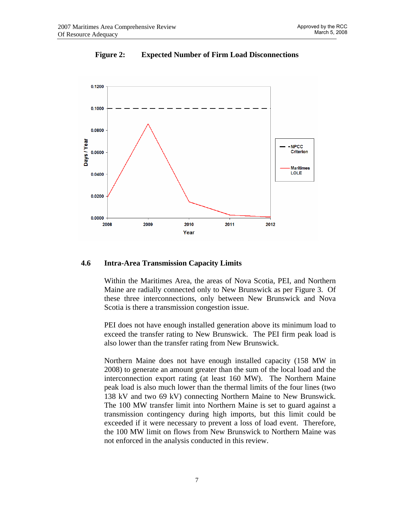<span id="page-13-0"></span>

**Figure 2: Expected Number of Firm Load Disconnections** 

#### **4.6 Intra-Area Transmission Capacity Limits**

Within the Maritimes Area, the areas of Nova Scotia, PEI, and Northern Maine are radially connected only to New Brunswick as per Figure 3. Of these three interconnections, only between New Brunswick and Nova Scotia is there a transmission congestion issue.

PEI does not have enough installed generation above its minimum load to exceed the transfer rating to New Brunswick. The PEI firm peak load is also lower than the transfer rating from New Brunswick.

Northern Maine does not have enough installed capacity (158 MW in 2008) to generate an amount greater than the sum of the local load and the interconnection export rating (at least 160 MW). The Northern Maine peak load is also much lower than the thermal limits of the four lines (two 138 kV and two 69 kV) connecting Northern Maine to New Brunswick. The 100 MW transfer limit into Northern Maine is set to guard against a transmission contingency during high imports, but this limit could be exceeded if it were necessary to prevent a loss of load event. Therefore, the 100 MW limit on flows from New Brunswick to Northern Maine was not enforced in the analysis conducted in this review.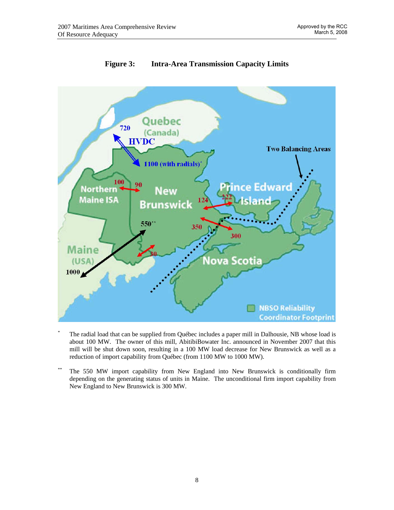<span id="page-14-0"></span>

#### **Figure 3: Intra-Area Transmission Capacity Limits**

- The radial load that can be supplied from Québec includes a paper mill in Dalhousie, NB whose load is about 100 MW. The owner of this mill, AbitibiBowater Inc. announced in November 2007 that this mill will be shut down soon, resulting in a 100 MW load decrease for New Brunswick as well as a reduction of import capability from Québec (from 1100 MW to 1000 MW).
- The 550 MW import capability from New England into New Brunswick is conditionally firm depending on the generating status of units in Maine. The unconditional firm import capability from New England to New Brunswick is 300 MW.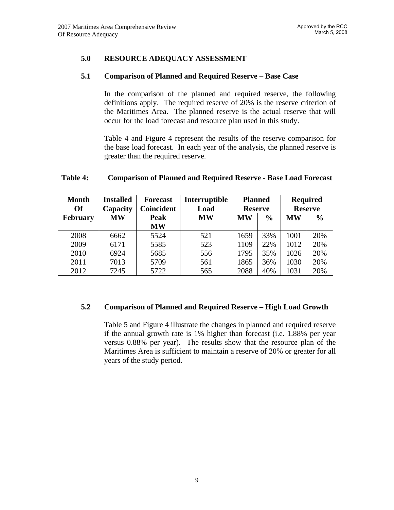#### <span id="page-15-0"></span>**5.0 RESOURCE ADEQUACY ASSESSMENT**

#### **5.1 Comparison of Planned and Required Reserve – Base Case**

In the comparison of the planned and required reserve, the following definitions apply. The required reserve of 20% is the reserve criterion of the Maritimes Area. The planned reserve is the actual reserve that will occur for the load forecast and resource plan used in this study.

Table 4 and Figure 4 represent the results of the reserve comparison for the base load forecast. In each year of the analysis, the planned reserve is greater than the required reserve.

#### **Table 4: Comparison of Planned and Required Reserve - Base Load Forecast**

| <b>Month</b><br><b>Of</b> | <b>Installed</b><br>Capacity | Forecast<br>Interruptible<br><b>Coincident</b><br>Load |           | <b>Planned</b><br><b>Reserve</b> |               | <b>Required</b><br><b>Reserve</b> |               |  |
|---------------------------|------------------------------|--------------------------------------------------------|-----------|----------------------------------|---------------|-----------------------------------|---------------|--|
| <b>February</b>           | <b>MW</b>                    | Peak                                                   | <b>MW</b> | <b>MW</b>                        | $\frac{0}{0}$ | <b>MW</b>                         | $\frac{6}{6}$ |  |
|                           |                              | <b>MW</b>                                              |           |                                  |               |                                   |               |  |
| 2008                      | 6662                         | 5524                                                   | 521       | 1659                             | 33%           | 1001                              | 20%           |  |
| 2009                      | 6171                         | 5585                                                   | 523       | 1109                             | 22%           | 1012                              | 20%           |  |
| 2010                      | 6924                         | 5685                                                   | 556       | 1795                             | 35%           | 1026                              | 20%           |  |
| 2011                      | 7013                         | 5709                                                   | 561       | 1865                             | 36%           | 1030                              | 20%           |  |
| 2012                      | 7245                         | 5722                                                   | 565       | 2088                             | 40%           | 1031                              | 20%           |  |

#### **5.2 Comparison of Planned and Required Reserve – High Load Growth**

Table 5 and Figure 4 illustrate the changes in planned and required reserve if the annual growth rate is 1% higher than forecast (i.e. 1.88% per year versus 0.88% per year). The results show that the resource plan of the Maritimes Area is sufficient to maintain a reserve of 20% or greater for all years of the study period.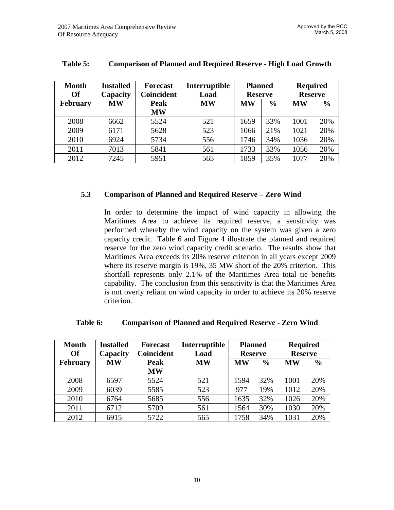| <b>Month</b><br><b>Of</b> | <b>Installed</b><br><b>Planned</b><br>Interruptible<br><b>Forecast</b><br><b>Coincident</b><br>Load<br>Capacity<br><b>Reserve</b> |                   | <b>Required</b><br><b>Reserve</b> |           |               |           |               |
|---------------------------|-----------------------------------------------------------------------------------------------------------------------------------|-------------------|-----------------------------------|-----------|---------------|-----------|---------------|
| <b>February</b>           | <b>MW</b>                                                                                                                         | Peak<br><b>MW</b> | <b>MW</b>                         | <b>MW</b> | $\frac{6}{6}$ | <b>MW</b> | $\frac{0}{0}$ |
| 2008                      | 6662                                                                                                                              | 5524              | 521                               | 1659      | 33%           | 1001      | 20%           |
| 2009                      | 6171                                                                                                                              | 5628              | 523                               | 1066      | 21%           | 1021      | 20%           |
| 2010                      | 6924                                                                                                                              | 5734              | 556                               | 1746      | 34%           | 1036      | 20%           |
| 2011                      | 7013                                                                                                                              | 5841              | 561                               | 1733      | 33%           | 1056      | 20%           |
| 2012                      | 7245                                                                                                                              | 5951              | 565                               | 1859      | 35%           | 1077      | 20%           |

#### <span id="page-16-0"></span>**Table 5: Comparison of Planned and Required Reserve - High Load Growth**

#### **5.3 Comparison of Planned and Required Reserve – Zero Wind**

In order to determine the impact of wind capacity in allowing the Maritimes Area to achieve its required reserve, a sensitivity was performed whereby the wind capacity on the system was given a zero capacity credit. Table 6 and Figure 4 illustrate the planned and required reserve for the zero wind capacity credit scenario. The results show that Maritimes Area exceeds its 20% reserve criterion in all years except 2009 where its reserve margin is 19%, 35 MW short of the 20% criterion. This shortfall represents only 2.1% of the Maritimes Area total tie benefits capability. The conclusion from this sensitivity is that the Maritimes Area is not overly reliant on wind capacity in order to achieve its 20% reserve criterion.

#### **Table 6: Comparison of Planned and Required Reserve - Zero Wind**

| <b>Month</b><br><b>Of</b> | <b>Installed</b><br>Capacity | <b>Forecast</b><br>Interruptible<br><b>Coincident</b><br>Load<br><b>MW</b><br><b>MW</b><br>Peak<br><b>MW</b> |     | <b>Planned</b><br><b>Reserve</b> |               | <b>Required</b><br><b>Reserve</b> |               |  |
|---------------------------|------------------------------|--------------------------------------------------------------------------------------------------------------|-----|----------------------------------|---------------|-----------------------------------|---------------|--|
| <b>February</b>           |                              |                                                                                                              |     | <b>MW</b>                        | $\frac{6}{9}$ | <b>MW</b>                         | $\frac{6}{9}$ |  |
| 2008                      | 6597                         | 5524                                                                                                         | 521 | 1594                             | 32%           | 1001                              | 20%           |  |
| 2009                      | 6039                         | 5585                                                                                                         | 523 | 977                              | 19%           | 1012                              | 20%           |  |
| 2010                      | 6764                         | 5685                                                                                                         | 556 | 1635                             | 32%           | 1026                              | 20%           |  |
| 2011                      | 6712                         | 5709                                                                                                         | 561 | 1564                             | 30%           | 1030                              | 20%           |  |
| 2012                      | 6915                         | 5722                                                                                                         | 565 | 1758                             | 34%           | 1031                              | 20%           |  |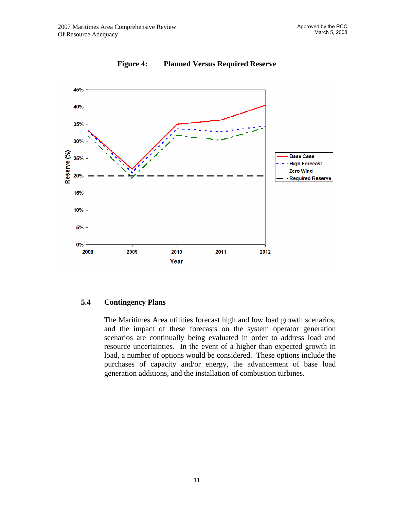<span id="page-17-0"></span>

**Figure 4: Planned Versus Required Reserve** 

#### **5.4 Contingency Plans**

The Maritimes Area utilities forecast high and low load growth scenarios, and the impact of these forecasts on the system operator generation scenarios are continually being evaluated in order to address load and resource uncertainties. In the event of a higher than expected growth in load, a number of options would be considered. These options include the purchases of capacity and/or energy, the advancement of base load generation additions, and the installation of combustion turbines.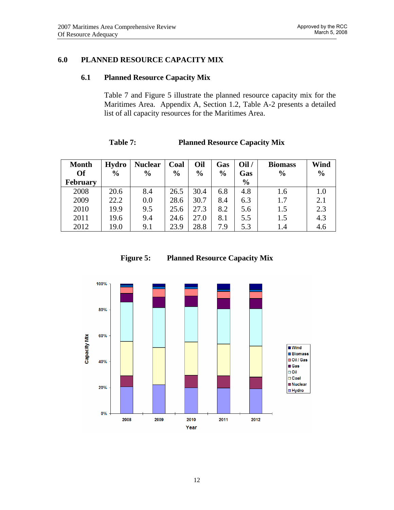#### <span id="page-18-0"></span>**6.0 PLANNED RESOURCE CAPACITY MIX**

#### **6.1 Planned Resource Capacity Mix**

Table 7 and Figure 5 illustrate the planned resource capacity mix for the Maritimes Area. Appendix A, Section 1.2, Table A-2 presents a detailed list of all capacity resources for the Maritimes Area.

| <b>Month</b><br><b>Of</b><br><b>February</b> | Hydro<br>$\frac{6}{6}$ | <b>Nuclear</b><br>$\frac{6}{6}$ | Coal<br>$\frac{6}{6}$ | Oil<br>$\frac{6}{6}$ | Gas<br>$\frac{0}{0}$ | Oil/<br>Gas<br>$\frac{6}{6}$ | <b>Biomass</b><br>$\frac{6}{6}$ | Wind<br>$\frac{6}{6}$ |
|----------------------------------------------|------------------------|---------------------------------|-----------------------|----------------------|----------------------|------------------------------|---------------------------------|-----------------------|
| 2008                                         | 20.6                   | 8.4                             | 26.5                  | 30.4                 | 6.8                  | 4.8                          | 1.6                             | 1.0                   |
| 2009                                         | 22.2                   | 0.0                             | 28.6                  | 30.7                 | 8.4                  | 6.3                          | 1.7                             | 2.1                   |
| 2010                                         | 19.9                   | 9.5                             | 25.6                  | 27.3                 | 8.2                  | 5.6                          | 1.5                             | 2.3                   |
| 2011                                         | 19.6                   | 9.4                             | 24.6                  | 27.0                 | 8.1                  | 5.5                          | 1.5                             | 4.3                   |
| 2012                                         | 19.0                   | 9.1                             | 23.9                  | 28.8                 | 7.9                  | 5.3                          | 1.4                             | 4.6                   |

**Table 7: Planned Resource Capacity Mix** 

**Figure 5: Planned Resource Capacity Mix** 

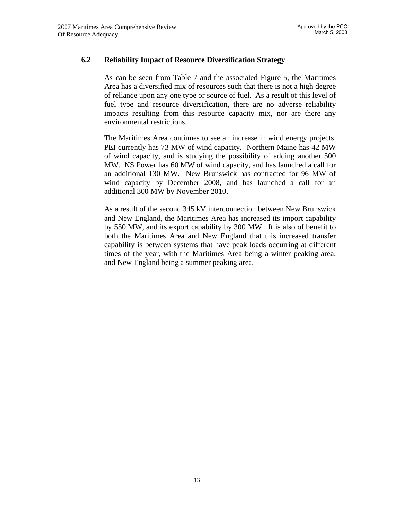#### <span id="page-19-0"></span>**6.2 Reliability Impact of Resource Diversification Strategy**

As can be seen from Table 7 and the associated Figure 5, the Maritimes Area has a diversified mix of resources such that there is not a high degree of reliance upon any one type or source of fuel. As a result of this level of fuel type and resource diversification, there are no adverse reliability impacts resulting from this resource capacity mix, nor are there any environmental restrictions.

The Maritimes Area continues to see an increase in wind energy projects. PEI currently has 73 MW of wind capacity. Northern Maine has 42 MW of wind capacity, and is studying the possibility of adding another 500 MW. NS Power has 60 MW of wind capacity, and has launched a call for an additional 130 MW. New Brunswick has contracted for 96 MW of wind capacity by December 2008, and has launched a call for an additional 300 MW by November 2010.

As a result of the second 345 kV interconnection between New Brunswick and New England, the Maritimes Area has increased its import capability by 550 MW, and its export capability by 300 MW. It is also of benefit to both the Maritimes Area and New England that this increased transfer capability is between systems that have peak loads occurring at different times of the year, with the Maritimes Area being a winter peaking area, and New England being a summer peaking area.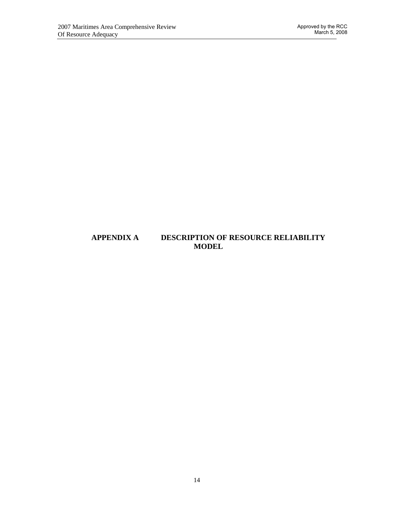#### <span id="page-20-0"></span>**APPENDIX A DESCRIPTION OF RESOURCE RELIABILITY MODEL**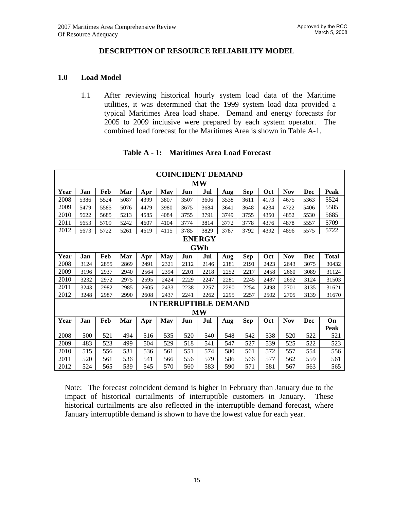#### **DESCRIPTION OF RESOURCE RELIABILITY MODEL**

#### <span id="page-21-0"></span>**1.0 Load Model**

1.1 After reviewing historical hourly system load data of the Maritime utilities, it was determined that the 1999 system load data provided a typical Maritimes Area load shape. Demand and energy forecasts for 2005 to 2009 inclusive were prepared by each system operator. The combined load forecast for the Maritimes Area is shown in Table A-1.

| <b>COINCIDENT DEMAND</b><br><b>MW</b> |      |      |      |      |            |                             |               |      |            |      |            |            |              |
|---------------------------------------|------|------|------|------|------------|-----------------------------|---------------|------|------------|------|------------|------------|--------------|
| Year                                  | Jan  | Feb  | Mar  | Apr  | <b>May</b> | Jun                         | Jul           | Aug  | <b>Sep</b> | Oct  | <b>Nov</b> | <b>Dec</b> | Peak         |
| 2008                                  | 5386 | 5524 | 5087 | 4399 | 3807       | 3507                        | 3606          | 3538 | 3611       | 4173 | 4675       | 5363       | 5524         |
| 2009                                  | 5479 | 5585 | 5076 | 4479 | 3980       | 3675                        | 3684          | 3641 | 3648       | 4234 | 4722       | 5406       | 5585         |
| 2010                                  | 5622 | 5685 | 5213 | 4585 | 4084       | 3755                        | 3791          | 3749 | 3755       | 4350 | 4852       | 5530       | 5685         |
| 2011                                  | 5653 | 5709 | 5242 | 4607 | 4104       | 3774                        | 3814          | 3772 | 3778       | 4376 | 4878       | 5557       | 5709         |
| 2012                                  | 5673 | 5722 | 5261 | 4619 | 4115       | 3785                        | 3829          | 3787 | 3792       | 4392 | 4896       | 5575       | 5722         |
|                                       |      |      |      |      |            |                             | <b>ENERGY</b> |      |            |      |            |            |              |
| GWh                                   |      |      |      |      |            |                             |               |      |            |      |            |            |              |
| Year                                  | Jan  | Feb  | Mar  | Apr  | <b>May</b> | Jun                         | Jul           | Aug  | <b>Sep</b> | Oct  | <b>Nov</b> | Dec        | <b>Total</b> |
| 2008                                  | 3124 | 2855 | 2869 | 2491 | 2321       | 2112                        | 2146          | 2181 | 2191       | 2423 | 2643       | 3075       | 30432        |
| 2009                                  | 3196 | 2937 | 2940 | 2564 | 2394       | 2201                        | 2218          | 2252 | 2217       | 2458 | 2660       | 3089       | 31124        |
| 2010                                  | 3232 | 2972 | 2975 | 2595 | 2424       | 2229                        | 2247          | 2281 | 2245       | 2487 | 2692       | 3124       | 31503        |
| 2011                                  | 3243 | 2982 | 2985 | 2605 | 2433       | 2238                        | 2257          | 2290 | 2254       | 2498 | 2701       | 3135       | 31621        |
| 2012                                  | 3248 | 2987 | 2990 | 2608 | 2437       | 2241                        | 2262          | 2295 | 2257       | 2502 | 2705       | 3139       | 31670        |
|                                       |      |      |      |      |            | <b>INTERRUPTIBLE DEMAND</b> |               |      |            |      |            |            |              |
|                                       |      |      |      |      |            |                             | <b>MW</b>     |      |            |      |            |            |              |
| Year                                  | Jan  | Feb  | Mar  | Apr  | <b>May</b> | Jun                         | Jul           | Aug  | <b>Sep</b> | Oct  | <b>Nov</b> | <b>Dec</b> | On           |
|                                       |      |      |      |      |            |                             |               |      |            |      |            |            | Peak         |
| 2008                                  | 500  | 521  | 494  | 516  | 535        | 520                         | 540           | 548  | 542        | 538  | 520        | 522        | 521          |
| 2009                                  | 483  | 523  | 499  | 504  | 529        | 518                         | 541           | 547  | 527        | 539  | 525        | 522        | 523          |
| 2010                                  | 515  | 556  | 531  | 536  | 561        | 551                         | 574           | 580  | 561        | 572  | 557        | 554        | 556          |
| 2011                                  | 520  | 561  | 536  | 541  | 566        | 556                         | 579           | 586  | 566        | 577  | 562        | 559        | 561          |
| 2012                                  | 524  | 565  | 539  | 545  | 570        | 560                         | 583           | 590  | 571        | 581  | 567        | 563        | 565          |

#### **Table A - 1: Maritimes Area Load Forecast**

Note: The forecast coincident demand is higher in February than January due to the impact of historical curtailments of interruptible customers in January. These historical curtailments are also reflected in the interruptible demand forecast, where January interruptible demand is shown to have the lowest value for each year.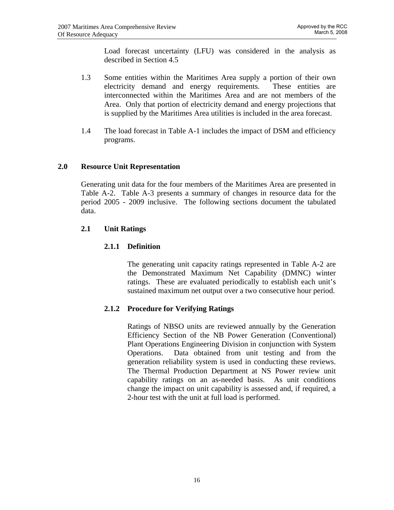Load forecast uncertainty (LFU) was considered in the analysis as described in Section 4.5

- 1.3 Some entities within the Maritimes Area supply a portion of their own electricity demand and energy requirements. These entities are interconnected within the Maritimes Area and are not members of the Area. Only that portion of electricity demand and energy projections that is supplied by the Maritimes Area utilities is included in the area forecast.
- 1.4 The load forecast in Table A-1 includes the impact of DSM and efficiency programs.

#### **2.0 Resource Unit Representation**

Generating unit data for the four members of the Maritimes Area are presented in Table A-2. Table A-3 presents a summary of changes in resource data for the period 2005 - 2009 inclusive. The following sections document the tabulated data.

#### **2.1 Unit Ratings**

#### **2.1.1 Definition**

The generating unit capacity ratings represented in Table A-2 are the Demonstrated Maximum Net Capability (DMNC) winter ratings. These are evaluated periodically to establish each unit's sustained maximum net output over a two consecutive hour period.

### **2.1.2 Procedure for Verifying Ratings**

Ratings of NBSO units are reviewed annually by the Generation Efficiency Section of the NB Power Generation (Conventional) Plant Operations Engineering Division in conjunction with System Operations. Data obtained from unit testing and from the generation reliability system is used in conducting these reviews. The Thermal Production Department at NS Power review unit capability ratings on an as-needed basis. As unit conditions change the impact on unit capability is assessed and, if required, a 2-hour test with the unit at full load is performed.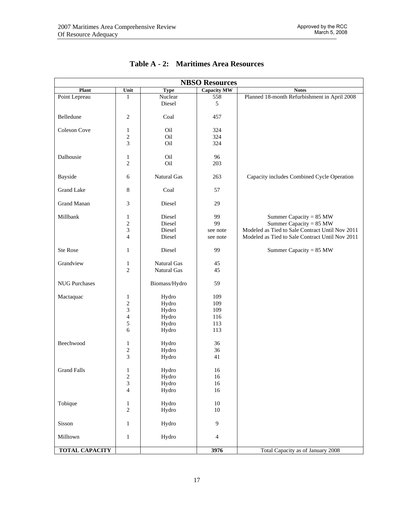<span id="page-23-0"></span>

| <b>NBSO Resources</b> |                                |               |                    |                                                 |  |  |  |  |  |  |  |
|-----------------------|--------------------------------|---------------|--------------------|-------------------------------------------------|--|--|--|--|--|--|--|
| Plant                 | Unit                           | <b>Type</b>   | <b>Capacity MW</b> | <b>Notes</b>                                    |  |  |  |  |  |  |  |
| Point Lepreau         | 1                              | Nuclear       | 558                | Planned 18-month Refurbishment in April 2008    |  |  |  |  |  |  |  |
|                       |                                | Diesel        | 5                  |                                                 |  |  |  |  |  |  |  |
|                       |                                |               |                    |                                                 |  |  |  |  |  |  |  |
| Belledune             | 2                              | Coal          | 457                |                                                 |  |  |  |  |  |  |  |
|                       |                                |               |                    |                                                 |  |  |  |  |  |  |  |
| Coleson Cove          | 1                              | Oil           | 324                |                                                 |  |  |  |  |  |  |  |
|                       | $\sqrt{2}$                     | Oil           | 324                |                                                 |  |  |  |  |  |  |  |
|                       | 3                              | Oil           | 324                |                                                 |  |  |  |  |  |  |  |
|                       |                                |               |                    |                                                 |  |  |  |  |  |  |  |
| Dalhousie             | $\mathbf{1}$<br>$\overline{c}$ | Oil<br>Oil    | 96<br>203          |                                                 |  |  |  |  |  |  |  |
|                       |                                |               |                    |                                                 |  |  |  |  |  |  |  |
| Bayside               | 6                              | Natural Gas   | 263                | Capacity includes Combined Cycle Operation      |  |  |  |  |  |  |  |
|                       |                                |               |                    |                                                 |  |  |  |  |  |  |  |
| Grand Lake            | 8                              | Coal          | 57                 |                                                 |  |  |  |  |  |  |  |
|                       |                                |               |                    |                                                 |  |  |  |  |  |  |  |
| Grand Manan           | 3                              | Diesel        | 29                 |                                                 |  |  |  |  |  |  |  |
|                       |                                |               |                    |                                                 |  |  |  |  |  |  |  |
| Millbank              | $\mathbf{1}$                   | Diesel        | 99                 | Summer Capacity = $85$ MW                       |  |  |  |  |  |  |  |
|                       | $\sqrt{2}$                     | Diesel        | 99                 | Summer Capacity = $85$ MW                       |  |  |  |  |  |  |  |
|                       | $\mathfrak{Z}$                 | Diesel        | see note           | Modeled as Tied to Sale Contract Until Nov 2011 |  |  |  |  |  |  |  |
|                       | $\overline{4}$                 | Diesel        | see note           | Modeled as Tied to Sale Contract Until Nov 2011 |  |  |  |  |  |  |  |
|                       |                                |               |                    |                                                 |  |  |  |  |  |  |  |
| <b>Ste Rose</b>       | $\mathbf{1}$                   | Diesel        | 99                 | Summer Capacity = $85$ MW                       |  |  |  |  |  |  |  |
|                       |                                |               |                    |                                                 |  |  |  |  |  |  |  |
| Grandview             | $\mathbf{1}$                   | Natural Gas   | 45                 |                                                 |  |  |  |  |  |  |  |
|                       | $\overline{2}$                 | Natural Gas   | 45                 |                                                 |  |  |  |  |  |  |  |
|                       |                                |               |                    |                                                 |  |  |  |  |  |  |  |
| <b>NUG Purchases</b>  |                                | Biomass/Hydro | 59                 |                                                 |  |  |  |  |  |  |  |
|                       |                                |               |                    |                                                 |  |  |  |  |  |  |  |
| Mactaquac             | $\mathbf{1}$                   | Hydro         | 109                |                                                 |  |  |  |  |  |  |  |
|                       | $\frac{2}{3}$                  | Hydro         | 109                |                                                 |  |  |  |  |  |  |  |
|                       |                                | Hydro         | 109                |                                                 |  |  |  |  |  |  |  |
|                       | $\overline{\mathbf{4}}$        | Hydro         | 116                |                                                 |  |  |  |  |  |  |  |
|                       | 5                              | Hydro         | 113                |                                                 |  |  |  |  |  |  |  |
|                       | 6                              | Hydro         | 113                |                                                 |  |  |  |  |  |  |  |
|                       |                                |               |                    |                                                 |  |  |  |  |  |  |  |
| Beechwood             | $\mathbf{1}$                   | Hydro         | 36                 |                                                 |  |  |  |  |  |  |  |
|                       | $\overline{\mathbf{c}}$        | Hydro         | 36                 |                                                 |  |  |  |  |  |  |  |
|                       | 3                              | Hydro         | 41                 |                                                 |  |  |  |  |  |  |  |
|                       |                                |               |                    |                                                 |  |  |  |  |  |  |  |
| <b>Grand Falls</b>    | $\mathbf{1}$                   | Hydro         | 16                 |                                                 |  |  |  |  |  |  |  |
|                       | $\overline{c}$                 | Hydro         | 16                 |                                                 |  |  |  |  |  |  |  |
|                       | $\overline{3}$                 | Hydro         | 16                 |                                                 |  |  |  |  |  |  |  |
|                       | $\overline{\mathcal{A}}$       | Hydro         | 16                 |                                                 |  |  |  |  |  |  |  |
|                       |                                |               |                    |                                                 |  |  |  |  |  |  |  |
| Tobique               | 1                              | Hydro         | 10                 |                                                 |  |  |  |  |  |  |  |
|                       | $\overline{c}$                 | Hydro         | 10                 |                                                 |  |  |  |  |  |  |  |
|                       |                                |               |                    |                                                 |  |  |  |  |  |  |  |
| Sisson                | $\mathbf{1}$                   | Hydro         | $\overline{9}$     |                                                 |  |  |  |  |  |  |  |
|                       |                                |               |                    |                                                 |  |  |  |  |  |  |  |
| Milltown              | $\mathbf{1}$                   | Hydro         | $\overline{4}$     |                                                 |  |  |  |  |  |  |  |
| <b>TOTAL CAPACITY</b> |                                |               | 3976               | Total Capacity as of January 2008               |  |  |  |  |  |  |  |
|                       |                                |               |                    |                                                 |  |  |  |  |  |  |  |

## **Table A - 2: Maritimes Area Resources**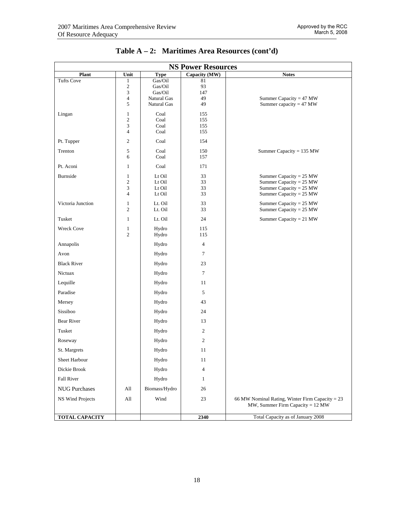| <b>NS Power Resources</b> |                                                            |                                                             |                             |                                                                                                                |  |
|---------------------------|------------------------------------------------------------|-------------------------------------------------------------|-----------------------------|----------------------------------------------------------------------------------------------------------------|--|
| <b>Plant</b>              | Unit                                                       | <b>Type</b>                                                 | Capacity (MW)               | <b>Notes</b>                                                                                                   |  |
| <b>Tufts Cove</b>         | $\mathbf{1}$<br>$\mathfrak{2}$<br>3<br>$\overline{4}$<br>5 | Gas/Oil<br>Gas/Oil<br>Gas/Oil<br>Natural Gas<br>Natural Gas | 81<br>93<br>147<br>49<br>49 | Summer Capacity = $47$ MW<br>Summer capacity = $47$ MW                                                         |  |
| Lingan                    | $\mathbf{1}$<br>$\mathfrak{2}$<br>3<br>$\overline{4}$      | Coal<br>Coal<br>Coal<br>Coal                                | 155<br>155<br>155<br>155    |                                                                                                                |  |
| Pt. Tupper                | $\mathfrak{2}$                                             | Coal                                                        | 154                         |                                                                                                                |  |
| Trenton                   | 5<br>6                                                     | Coal<br>Coal                                                | 150<br>157                  | Summer Capacity = 135 MW                                                                                       |  |
| Pt. Aconi                 | $\mathbf{1}$                                               | Coal                                                        | 171                         |                                                                                                                |  |
| <b>Burnside</b>           | 1<br>$\mathfrak{2}$<br>3<br>$\overline{4}$                 | Lt Oil<br>Lt Oil<br>Lt Oil<br>Lt Oil                        | 33<br>33<br>33<br>33        | Summer Capacity = $25$ MW<br>Summer Capacity = $25$ MW<br>Summer Capacity = $25$ MW<br>Summer Capacity = 25 MW |  |
| Victoria Junction         | $\mathbf{1}$<br>$\mathfrak{2}$                             | Lt. Oil<br>Lt. Oil                                          | 33<br>33                    | Summer Capacity = $25$ MW<br>Summer Capacity = 25 MW                                                           |  |
| Tusket                    | $\mathbf{1}$                                               | Lt. Oil                                                     | 24                          | Summer Capacity = 21 MW                                                                                        |  |
| <b>Wreck Cove</b>         | $\mathbf{1}$<br>$\overline{c}$                             | Hydro<br>Hydro                                              | 115<br>115                  |                                                                                                                |  |
| Annapolis                 |                                                            | Hydro                                                       | $\overline{4}$              |                                                                                                                |  |
| Avon                      |                                                            | Hydro                                                       | 7                           |                                                                                                                |  |
| <b>Black River</b>        |                                                            | Hydro                                                       | 23                          |                                                                                                                |  |
| Nictuax                   |                                                            | Hydro                                                       | $\tau$                      |                                                                                                                |  |
| Lequille                  |                                                            | Hydro                                                       | 11                          |                                                                                                                |  |
| Paradise                  |                                                            | Hydro                                                       | 5                           |                                                                                                                |  |
| Mersey                    |                                                            | Hydro                                                       | 43                          |                                                                                                                |  |
| Sissiboo                  |                                                            | Hydro                                                       | 24                          |                                                                                                                |  |
| <b>Bear River</b>         |                                                            | Hydro                                                       | 13                          |                                                                                                                |  |
| Tusket                    |                                                            | Hydro                                                       | $\overline{c}$              |                                                                                                                |  |
| Roseway                   |                                                            | Hydro                                                       | $\mathfrak{2}$              |                                                                                                                |  |
| St. Margrets              |                                                            | Hydro                                                       | 11                          |                                                                                                                |  |
| Sheet Harbour             |                                                            | Hydro                                                       | 11                          |                                                                                                                |  |
| Dickie Brook              |                                                            | Hydro                                                       | $\overline{4}$              |                                                                                                                |  |
| Fall River                |                                                            | Hydro                                                       | $\mathbf{1}$                |                                                                                                                |  |
| <b>NUG Purchases</b>      | All                                                        | Biomass/Hydro                                               | 26                          |                                                                                                                |  |
| NS Wind Projects          | All                                                        | Wind                                                        | 23                          | 66 MW Nominal Rating, Winter Firm Capacity = 23<br>MW, Summer Firm Capacity = 12 MW                            |  |
| <b>TOTAL CAPACITY</b>     |                                                            |                                                             | 2340                        | Total Capacity as of January 2008                                                                              |  |

| Table $A - 2$ : Maritimes Area Resources (cont'd) |  |
|---------------------------------------------------|--|
|---------------------------------------------------|--|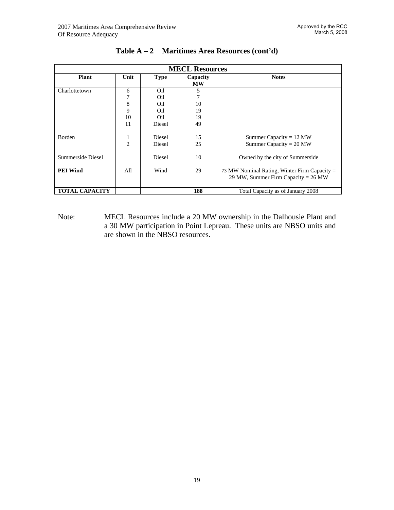| <b>MECL Resources</b> |                     |                  |                       |                                                                                         |  |  |
|-----------------------|---------------------|------------------|-----------------------|-----------------------------------------------------------------------------------------|--|--|
| <b>Plant</b>          | Unit                | <b>Type</b>      | Capacity<br><b>MW</b> | <b>Notes</b>                                                                            |  |  |
| Charlottetown         | 6                   | Oil              | 5                     |                                                                                         |  |  |
|                       | 7                   | Oil              |                       |                                                                                         |  |  |
|                       | 8                   | Oil              | 10                    |                                                                                         |  |  |
|                       | 9                   | Oil              | 19                    |                                                                                         |  |  |
|                       | 10                  | Oil              | 19                    |                                                                                         |  |  |
|                       | 11                  | Diesel           | 49                    |                                                                                         |  |  |
| Borden                | 1<br>$\overline{2}$ | Diesel<br>Diesel | 15<br>25              | Summer Capacity = $12 \text{ MW}$<br>Summer Capacity = $20$ MW                          |  |  |
| Summerside Diesel     |                     | Diesel           | 10                    | Owned by the city of Summerside                                                         |  |  |
| <b>PEI</b> Wind       | All                 | Wind             | 29                    | 73 MW Nominal Rating, Winter Firm Capacity $=$<br>29 MW, Summer Firm Capacity = $26$ MW |  |  |
| <b>TOTAL CAPACITY</b> |                     |                  | 188                   | Total Capacity as of January 2008                                                       |  |  |

| Table $A - 2$ Maritimes Area Resources (cont'd) |  |
|-------------------------------------------------|--|
|                                                 |  |

Note: MECL Resources include a 20 MW ownership in the Dalhousie Plant and a 30 MW participation in Point Lepreau. These units are NBSO units and are shown in the NBSO resources.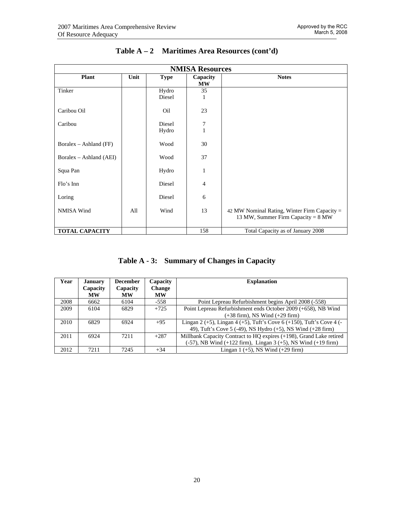<span id="page-26-0"></span>

| <b>NMISA Resources</b>  |      |             |                       |                                                                                      |  |
|-------------------------|------|-------------|-----------------------|--------------------------------------------------------------------------------------|--|
| Plant                   | Unit | <b>Type</b> | Capacity<br><b>MW</b> | <b>Notes</b>                                                                         |  |
| Tinker                  |      | Hydro       | 35                    |                                                                                      |  |
|                         |      | Diesel      | 1                     |                                                                                      |  |
| Caribou Oil             |      | Oil         | 23                    |                                                                                      |  |
| Caribou                 |      | Diesel      | $\overline{7}$        |                                                                                      |  |
|                         |      | Hydro       | 1                     |                                                                                      |  |
| Boralex - Ashland (FF)  |      | Wood        | 30                    |                                                                                      |  |
| Boralex - Ashland (AEI) |      | Wood        | 37                    |                                                                                      |  |
| Squa Pan                |      | Hydro       | 1                     |                                                                                      |  |
| Flo's Inn               |      | Diesel      | $\overline{4}$        |                                                                                      |  |
| Loring                  |      | Diesel      | 6                     |                                                                                      |  |
| <b>NMISA Wind</b>       | All  | Wind        | 13                    | 42 MW Nominal Rating, Winter Firm Capacity $=$<br>13 MW, Summer Firm Capacity = 8 MW |  |
| <b>TOTAL CAPACITY</b>   |      |             | 158                   | Total Capacity as of January 2008                                                    |  |

| Table $A - 2$ Maritimes Area Resources (cont'd) |  |  |
|-------------------------------------------------|--|--|
|                                                 |  |  |

**Table A - 3: Summary of Changes in Capacity** 

| Year | <b>January</b><br>Capacity<br><b>MW</b> | <b>December</b><br>Capacity<br><b>MW</b> | Capacity<br><b>Change</b><br><b>MW</b> | <b>Explanation</b>                                                                                                                             |
|------|-----------------------------------------|------------------------------------------|----------------------------------------|------------------------------------------------------------------------------------------------------------------------------------------------|
| 2008 | 6662                                    | 6104                                     | $-558$                                 | Point Lepreau Refurbishment begins April 2008 (-558)                                                                                           |
| 2009 | 6104                                    | 6829                                     | $+725$                                 | Point Lepreau Refurbishment ends October 2009 (+658), NB Wind<br>$(+38$ firm), NS Wind $(+29$ firm)                                            |
| 2010 | 6829                                    | 6924                                     | $+95$                                  | Lingan 2 (+5), Lingan 4 (+5), Tuft's Cove 6 (+150), Tuft's Cove 4 (-<br>49), Tuft's Cove 5 (-49), NS Hydro (+5), NS Wind (+28 firm)            |
| 2011 | 6924                                    | 7211                                     | $+287$                                 | Millbank Capacity Contract to HQ expires (+198), Grand Lake retired<br>$(-57)$ , NB Wind $(+122$ firm), Lingan 3 $(+5)$ , NS Wind $(+19$ firm) |
| 2012 | 7211                                    | 7245                                     | $+34$                                  | Lingan $1 (+5)$ , NS Wind $(+29$ firm)                                                                                                         |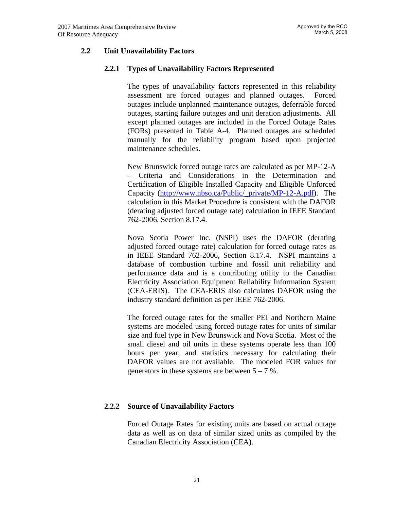#### **2.2 Unit Unavailability Factors**

#### **2.2.1 Types of Unavailability Factors Represented**

The types of unavailability factors represented in this reliability assessment are forced outages and planned outages. Forced outages include unplanned maintenance outages, deferrable forced outages, starting failure outages and unit deration adjustments. All except planned outages are included in the Forced Outage Rates (FORs) presented in Table A-4. Planned outages are scheduled manually for the reliability program based upon projected maintenance schedules.

New Brunswick forced outage rates are calculated as per MP-12-A – Criteria and Considerations in the Determination and Certification of Eligible Installed Capacity and Eligible Unforced Capacity ([http://www.nbso.ca/Public/\\_private/MP-12-A.pdf\)](http://www.nbso.ca/Public/_private/MP-12-A.pdf). The calculation in this Market Procedure is consistent with the DAFOR (derating adjusted forced outage rate) calculation in IEEE Standard 762-2006, Section 8.17.4.

Nova Scotia Power Inc. (NSPI) uses the DAFOR (derating adjusted forced outage rate) calculation for forced outage rates as in IEEE Standard 762-2006, Section 8.17.4. NSPI maintains a database of combustion turbine and fossil unit reliability and performance data and is a contributing utility to the Canadian Electricity Association Equipment Reliability Information System (CEA-ERIS). The CEA-ERIS also calculates DAFOR using the industry standard definition as per IEEE 762-2006.

The forced outage rates for the smaller PEI and Northern Maine systems are modeled using forced outage rates for units of similar size and fuel type in New Brunswick and Nova Scotia. Most of the small diesel and oil units in these systems operate less than 100 hours per year, and statistics necessary for calculating their DAFOR values are not available. The modeled FOR values for generators in these systems are between  $5 - 7$ %.

#### **2.2.2 Source of Unavailability Factors**

Forced Outage Rates for existing units are based on actual outage data as well as on data of similar sized units as compiled by the Canadian Electricity Association (CEA).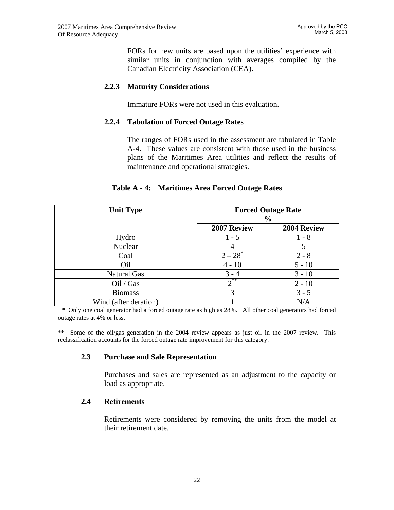FORs for new units are based upon the utilities' experience with similar units in conjunction with averages compiled by the Canadian Electricity Association (CEA).

#### <span id="page-28-0"></span>**2.2.3 Maturity Considerations**

Immature FORs were not used in this evaluation.

#### **2.2.4 Tabulation of Forced Outage Rates**

The ranges of FORs used in the assessment are tabulated in Table A-4. These values are consistent with those used in the business plans of the Maritimes Area utilities and reflect the results of maintenance and operational strategies.

#### **Table A - 4: Maritimes Area Forced Outage Rates**

| <b>Unit Type</b>      | <b>Forced Outage Rate</b><br>$\frac{0}{0}$ |             |  |
|-----------------------|--------------------------------------------|-------------|--|
|                       | 2007 Review                                | 2004 Review |  |
| Hydro                 | $1 - 5$                                    | $1 - 8$     |  |
| Nuclear               | 4                                          |             |  |
| Coal                  | $2 - 28$                                   | $2 - 8$     |  |
| Oil                   | $4 - 10$                                   | $5 - 10$    |  |
| <b>Natural Gas</b>    | $3 - 4$                                    | $3 - 10$    |  |
| Oil / Gas             | $2^{**}$                                   | $2 - 10$    |  |
| <b>Biomass</b>        | 3                                          | $3 - 5$     |  |
| Wind (after deration) |                                            | N/A         |  |

 \* Only one coal generator had a forced outage rate as high as 28%. All other coal generators had forced outage rates at 4% or less.

\*\* Some of the oil/gas generation in the 2004 review appears as just oil in the 2007 review. This reclassification accounts for the forced outage rate improvement for this category.

#### **2.3 Purchase and Sale Representation**

Purchases and sales are represented as an adjustment to the capacity or load as appropriate.

#### **2.4 Retirements**

Retirements were considered by removing the units from the model at their retirement date.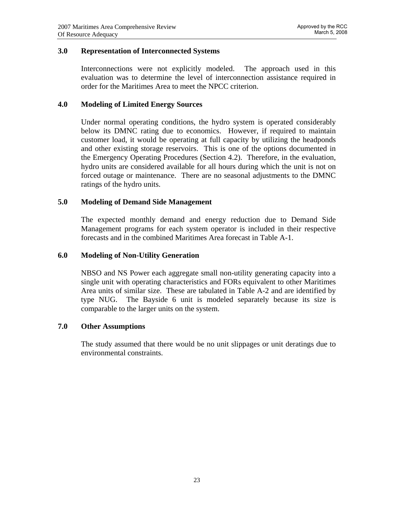#### **3.0 Representation of Interconnected Systems**

Interconnections were not explicitly modeled. The approach used in this evaluation was to determine the level of interconnection assistance required in order for the Maritimes Area to meet the NPCC criterion.

#### **4.0 Modeling of Limited Energy Sources**

Under normal operating conditions, the hydro system is operated considerably below its DMNC rating due to economics. However, if required to maintain customer load, it would be operating at full capacity by utilizing the headponds and other existing storage reservoirs. This is one of the options documented in the Emergency Operating Procedures (Section 4.2). Therefore, in the evaluation, hydro units are considered available for all hours during which the unit is not on forced outage or maintenance. There are no seasonal adjustments to the DMNC ratings of the hydro units.

#### **5.0 Modeling of Demand Side Management**

The expected monthly demand and energy reduction due to Demand Side Management programs for each system operator is included in their respective forecasts and in the combined Maritimes Area forecast in Table A-1.

#### **6.0 Modeling of Non-Utility Generation**

NBSO and NS Power each aggregate small non-utility generating capacity into a single unit with operating characteristics and FORs equivalent to other Maritimes Area units of similar size. These are tabulated in Table A-2 and are identified by type NUG. The Bayside 6 unit is modeled separately because its size is comparable to the larger units on the system.

#### **7.0 Other Assumptions**

The study assumed that there would be no unit slippages or unit deratings due to environmental constraints.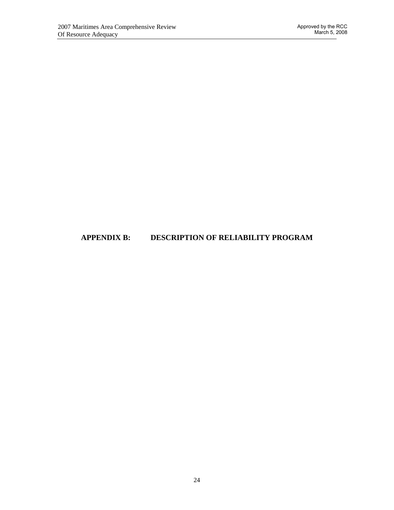#### <span id="page-30-0"></span>**APPENDIX B: DESCRIPTION OF RELIABILITY PROGRAM**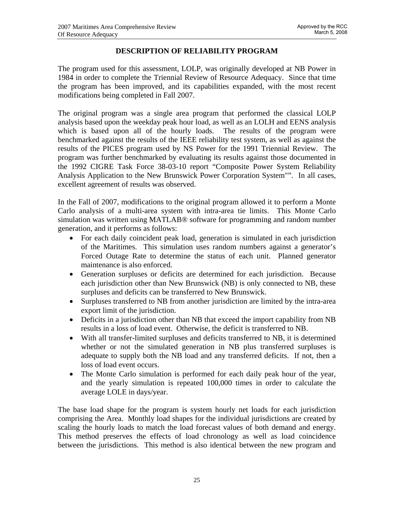#### **DESCRIPTION OF RELIABILITY PROGRAM**

The program used for this assessment, LOLP, was originally developed at NB Power in 1984 in order to complete the Triennial Review of Resource Adequacy. Since that time the program has been improved, and its capabilities expanded, with the most recent modifications being completed in Fall 2007.

The original program was a single area program that performed the classical LOLP analysis based upon the weekday peak hour load, as well as an LOLH and EENS analysis which is based upon all of the hourly loads. The results of the program were benchmarked against the results of the IEEE reliability test system, as well as against the results of the PICES program used by NS Power for the 1991 Triennial Review. The program was further benchmarked by evaluating its results against those documented in the 1992 CIGRE Task Force 38-03-10 report "Composite Power System Reliability Analysis Application to the New Brunswick Power Corporation System"". In all cases, excellent agreement of results was observed.

In the Fall of 2007, modifications to the original program allowed it to perform a Monte Carlo analysis of a multi-area system with intra-area tie limits. This Monte Carlo simulation was written using MATLAB® software for programming and random number generation, and it performs as follows:

- For each daily coincident peak load, generation is simulated in each jurisdiction of the Maritimes. This simulation uses random numbers against a generator's Forced Outage Rate to determine the status of each unit. Planned generator maintenance is also enforced.
- Generation surpluses or deficits are determined for each jurisdiction. Because each jurisdiction other than New Brunswick (NB) is only connected to NB, these surpluses and deficits can be transferred to New Brunswick.
- Surpluses transferred to NB from another jurisdiction are limited by the intra-area export limit of the jurisdiction.
- Deficits in a jurisdiction other than NB that exceed the import capability from NB results in a loss of load event. Otherwise, the deficit is transferred to NB.
- With all transfer-limited surpluses and deficits transferred to NB, it is determined whether or not the simulated generation in NB plus transferred surpluses is adequate to supply both the NB load and any transferred deficits. If not, then a loss of load event occurs.
- The Monte Carlo simulation is performed for each daily peak hour of the year, and the yearly simulation is repeated 100,000 times in order to calculate the average LOLE in days/year.

The base load shape for the program is system hourly net loads for each jurisdiction comprising the Area. Monthly load shapes for the individual jurisdictions are created by scaling the hourly loads to match the load forecast values of both demand and energy. This method preserves the effects of load chronology as well as load coincidence between the jurisdictions. This method is also identical between the new program and